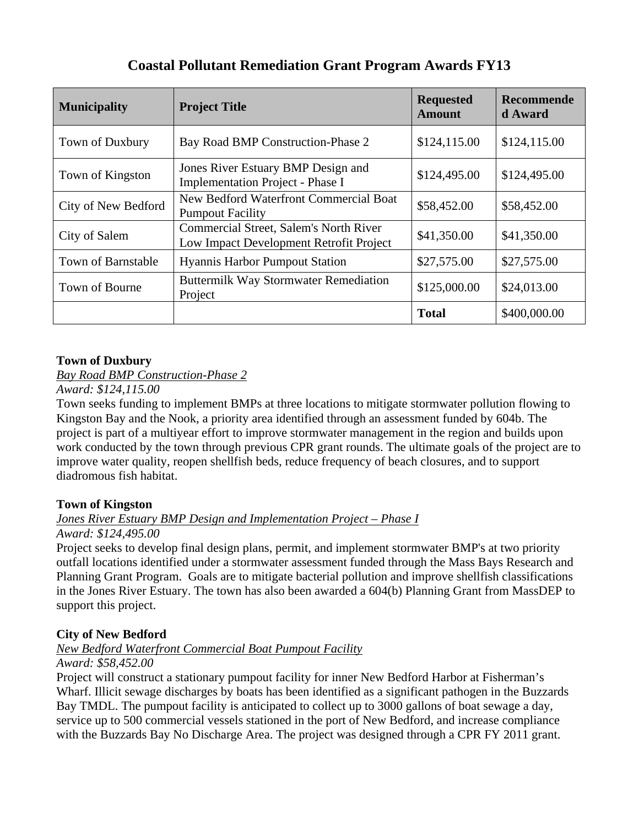## **Coastal Pollutant Remediation Grant Program Awards FY13**

| <b>Municipality</b>       | <b>Project Title</b>                                                              | <b>Requested</b><br><b>Amount</b> | Recommende<br>d Award |
|---------------------------|-----------------------------------------------------------------------------------|-----------------------------------|-----------------------|
| Town of Duxbury           | Bay Road BMP Construction-Phase 2                                                 | \$124,115.00                      | \$124,115.00          |
| Town of Kingston          | Jones River Estuary BMP Design and<br>Implementation Project - Phase I            | \$124,495.00                      | \$124,495.00          |
| City of New Bedford       | New Bedford Waterfront Commercial Boat<br><b>Pumpout Facility</b>                 | \$58,452.00                       | \$58,452.00           |
| City of Salem             | Commercial Street, Salem's North River<br>Low Impact Development Retrofit Project | \$41,350.00                       | \$41,350.00           |
| <b>Town of Barnstable</b> | <b>Hyannis Harbor Pumpout Station</b>                                             | \$27,575.00                       | \$27,575.00           |
| Town of Bourne            | <b>Buttermilk Way Stormwater Remediation</b><br>Project                           | \$125,000.00                      | \$24,013.00           |
|                           |                                                                                   | <b>Total</b>                      | \$400,000.00          |

### **Town of Duxbury**

*Bay Road BMP Construction-Phase 2*

*Award: \$124,115.00* 

Town seeks funding to implement BMPs at three locations to mitigate stormwater pollution flowing to Kingston Bay and the Nook, a priority area identified through an assessment funded by 604b. The project is part of a multiyear effort to improve stormwater management in the region and builds upon work conducted by the town through previous CPR grant rounds. The ultimate goals of the project are to improve water quality, reopen shellfish beds, reduce frequency of beach closures, and to support diadromous fish habitat.

## **Town of Kingston**

# *Jones River Estuary BMP Design and Implementation Project – Phase I*

### *Award: \$124,495.00*

Project seeks to develop final design plans, permit, and implement stormwater BMP's at two priority outfall locations identified under a stormwater assessment funded through the Mass Bays Research and Planning Grant Program. Goals are to mitigate bacterial pollution and improve shellfish classifications in the Jones River Estuary. The town has also been awarded a 604(b) Planning Grant from MassDEP to support this project.

## **City of New Bedford**

## *New Bedford Waterfront Commercial Boat Pumpout Facility*

### *Award: \$58,452.00*

Project will construct a stationary pumpout facility for inner New Bedford Harbor at Fisherman's Wharf. Illicit sewage discharges by boats has been identified as a significant pathogen in the Buzzards Bay TMDL. The pumpout facility is anticipated to collect up to 3000 gallons of boat sewage a day, service up to 500 commercial vessels stationed in the port of New Bedford, and increase compliance with the Buzzards Bay No Discharge Area. The project was designed through a CPR FY 2011 grant.